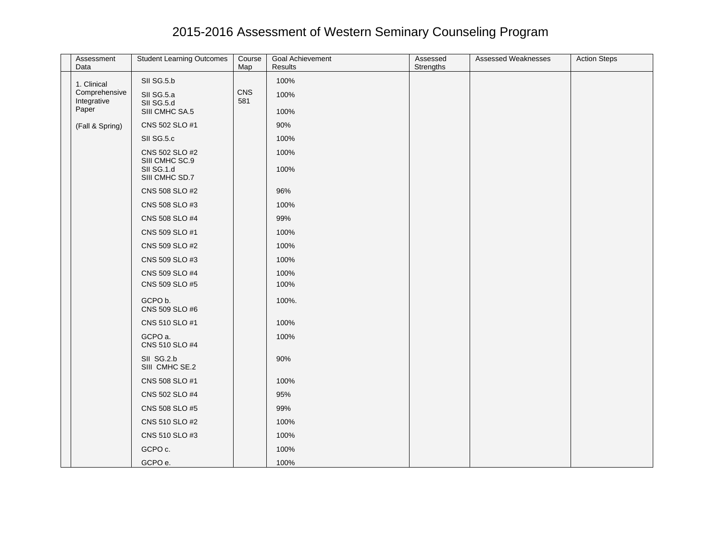## 2015-2016 Assessment of Western Seminary Counseling Program

| Assessment<br>Data                    | <b>Student Learning Outcomes</b>                                 | Course<br>Map | Goal Achievement<br>Results | Assessed<br>Strengths | <b>Assessed Weaknesses</b> | <b>Action Steps</b> |
|---------------------------------------|------------------------------------------------------------------|---------------|-----------------------------|-----------------------|----------------------------|---------------------|
| 1. Clinical                           | SII SG.5.b                                                       |               | 100%                        |                       |                            |                     |
| Comprehensive<br>Integrative<br>Paper | SII SG.5.a<br>SII SG.5.d<br>SIII CMHC SA.5                       | CNS<br>581    | 100%<br>100%                |                       |                            |                     |
|                                       |                                                                  |               |                             |                       |                            |                     |
| (Fall & Spring)                       | CNS 502 SLO #1                                                   |               | 90%                         |                       |                            |                     |
|                                       | SII SG.5.c                                                       |               | 100%                        |                       |                            |                     |
|                                       | CNS 502 SLO #2<br>SIII CMHC SC.9<br>SII SG.1.d<br>SIII CMHC SD.7 |               | 100%<br>100%                |                       |                            |                     |
|                                       | CNS 508 SLO #2                                                   |               | 96%                         |                       |                            |                     |
|                                       | CNS 508 SLO #3                                                   |               | 100%                        |                       |                            |                     |
|                                       | CNS 508 SLO #4                                                   |               | 99%                         |                       |                            |                     |
|                                       | CNS 509 SLO #1                                                   |               | 100%                        |                       |                            |                     |
|                                       | CNS 509 SLO #2                                                   |               | 100%                        |                       |                            |                     |
|                                       | CNS 509 SLO #3                                                   |               | 100%                        |                       |                            |                     |
|                                       | CNS 509 SLO #4                                                   |               | 100%                        |                       |                            |                     |
|                                       | CNS 509 SLO #5                                                   |               | 100%                        |                       |                            |                     |
|                                       | GCPO b.<br>CNS 509 SLO #6                                        |               | 100%.                       |                       |                            |                     |
|                                       | CNS 510 SLO #1                                                   |               | 100%                        |                       |                            |                     |
|                                       | GCPO a.<br>CNS 510 SLO #4                                        |               | 100%                        |                       |                            |                     |
|                                       | SII SG.2.b<br>SIII CMHC SE.2                                     |               | 90%                         |                       |                            |                     |
|                                       | CNS 508 SLO #1                                                   |               | 100%                        |                       |                            |                     |
|                                       | CNS 502 SLO #4                                                   |               | 95%                         |                       |                            |                     |
|                                       | CNS 508 SLO #5                                                   |               | 99%                         |                       |                            |                     |
|                                       | CNS 510 SLO #2                                                   |               | 100%                        |                       |                            |                     |
|                                       | CNS 510 SLO #3                                                   |               | 100%                        |                       |                            |                     |
|                                       | GCPO c.                                                          |               | 100%                        |                       |                            |                     |
|                                       | GCPO e.                                                          |               | 100%                        |                       |                            |                     |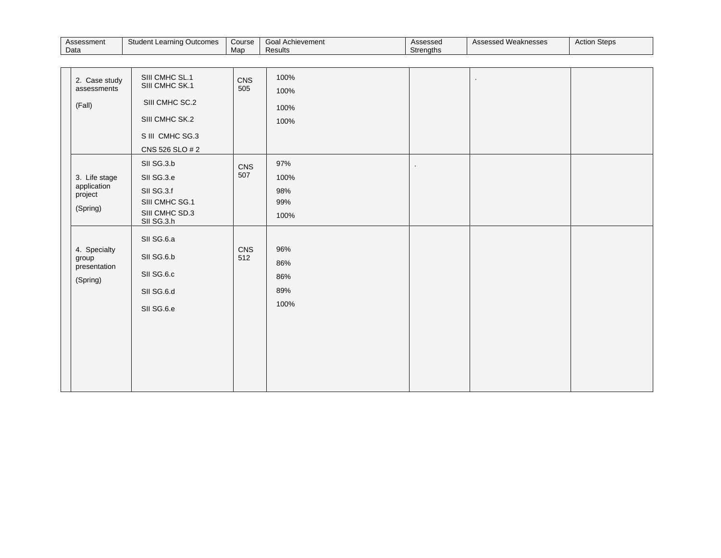| Student Learning<br>Assessment<br>Course<br>Outcomes<br><b>Data</b><br>Map | Goa.<br>I Achievement<br>Results | Assessed<br>Strenaths | $\cdots$<br>Assessed Weaknesses | <b>Action Steps</b> |
|----------------------------------------------------------------------------|----------------------------------|-----------------------|---------------------------------|---------------------|
|----------------------------------------------------------------------------|----------------------------------|-----------------------|---------------------------------|---------------------|

| 2. Case study<br>assessments<br>(Fall)              | SIII CMHC SL.1<br>SIII CMHC SK.1<br>SIII CMHC SC.2<br>SIII CMHC SK.2<br>S III CMHC SG.3<br>CNS 526 SLO # 2 | CNS<br>505 | 100%<br>100%<br>100%<br>100%      |                |  |
|-----------------------------------------------------|------------------------------------------------------------------------------------------------------------|------------|-----------------------------------|----------------|--|
| 3. Life stage<br>application<br>project<br>(Spring) | SII SG.3.b<br>SII SG.3.e<br>SII SG.3.f<br>SIII CMHC SG.1<br>SIII CMHC SD.3<br>SII SG.3.h                   | CNS<br>507 | 97%<br>100%<br>98%<br>99%<br>100% | $\blacksquare$ |  |
| 4. Specialty<br>group<br>presentation<br>(Spring)   | SII SG.6.a<br>SII SG.6.b<br>SII SG.6.c<br>SII SG.6.d<br>SII SG.6.e                                         | CNS<br>512 | 96%<br>86%<br>86%<br>89%<br>100%  |                |  |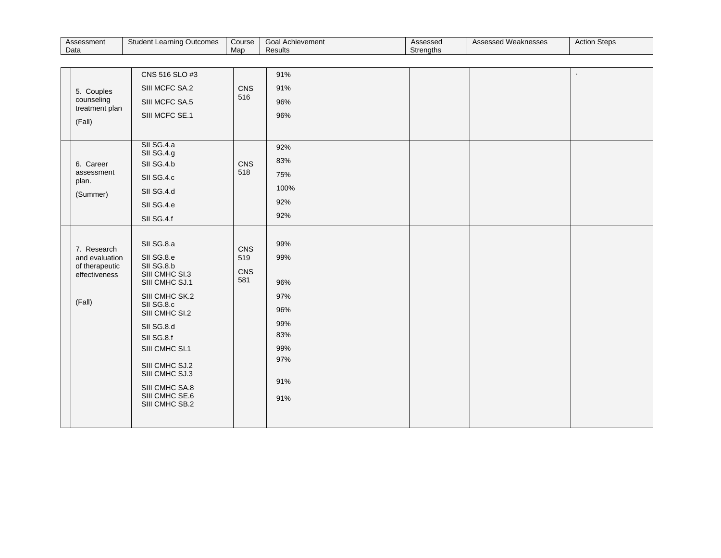| Assessment | nina Outcomes   | Course | Goal Achievement | Assessed  | 'Weaknesses | <b>Action Steps</b> |
|------------|-----------------|--------|------------------|-----------|-------------|---------------------|
| Data       | Student Learnin | Mac    | Results          | Strenaths | Assessed    |                     |

| 5. Couples<br>counseling<br>treatment plan<br>(Fall)                       | CNS 516 SLO #3<br>SIII MCFC SA.2<br>SIII MCFC SA.5<br>SIII MCFC SE.1                                                                                                                                                                                                 | CNS<br>516               | 91%<br>91%<br>96%<br>96%                                                  |  |  |
|----------------------------------------------------------------------------|----------------------------------------------------------------------------------------------------------------------------------------------------------------------------------------------------------------------------------------------------------------------|--------------------------|---------------------------------------------------------------------------|--|--|
| 6. Career<br>assessment<br>plan.<br>(Summer)                               | SII SG.4.a<br>SII SG.4.g<br>SII SG.4.b<br>SII SG.4.c<br>SII SG.4.d<br>SII SG.4.e<br>SII SG.4.f                                                                                                                                                                       | CNS<br>518               | 92%<br>83%<br>75%<br>100%<br>92%<br>92%                                   |  |  |
| 7. Research<br>and evaluation<br>of therapeutic<br>effectiveness<br>(Fall) | SII SG.8.a<br>SII SG.8.e<br>SII SG.8.b<br>SIII CMHC SI.3<br>SIII CMHC SJ.1<br>SIII CMHC SK.2<br>SII SG.8.c<br>SIII CMHC SI.2<br>SII SG.8.d<br>SII SG.8.f<br>SIII CMHC SI.1<br>SIII CMHC SJ.2<br>SIII CMHC SJ.3<br>SIII CMHC SA.8<br>SIII CMHC SE.6<br>SIII CMHC SB.2 | CNS<br>519<br>CNS<br>581 | 99%<br>99%<br>96%<br>97%<br>96%<br>99%<br>83%<br>99%<br>97%<br>91%<br>91% |  |  |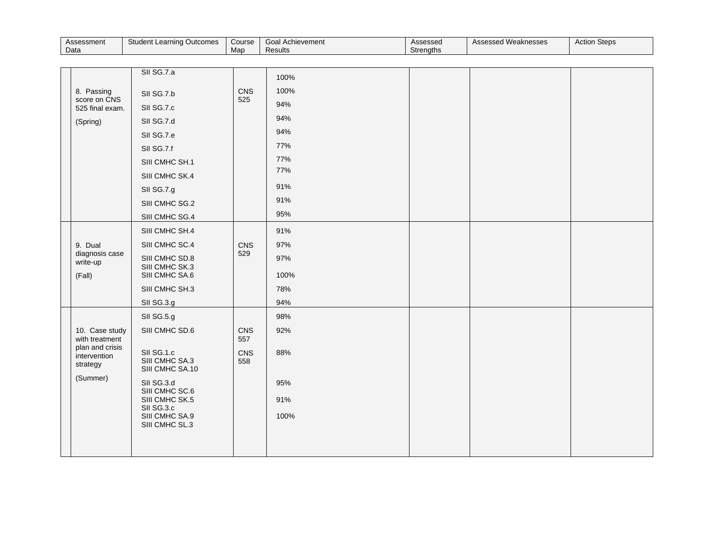| Assessment | Student Learning | Course | Goal Achievement | Assessed  | 'Weaknesses | <b>Action Steps</b> |
|------------|------------------|--------|------------------|-----------|-------------|---------------------|
| Data       | Outcomes         | Map    | Results          | Strenaths | Assessed    |                     |

|                                             | SII SG.7.a                                      |            | 100% |  |  |
|---------------------------------------------|-------------------------------------------------|------------|------|--|--|
| 8. Passing                                  | SII SG.7.b                                      | CNS        | 100% |  |  |
| score on CNS<br>525 final exam.             | SII SG.7.c                                      | 525        | 94%  |  |  |
| (Spring)                                    | SII SG.7.d                                      |            | 94%  |  |  |
|                                             | SII SG.7.e                                      |            | 94%  |  |  |
|                                             | SII SG.7.f                                      |            | 77%  |  |  |
|                                             | SIII CMHC SH.1                                  |            | 77%  |  |  |
|                                             | SIII CMHC SK.4                                  |            | 77%  |  |  |
|                                             | SII SG.7.g                                      |            | 91%  |  |  |
|                                             | SIII CMHC SG.2                                  |            | 91%  |  |  |
|                                             | SIII CMHC SG.4                                  |            | 95%  |  |  |
|                                             | SIII CMHC SH.4                                  |            | 91%  |  |  |
| 9. Dual                                     | SIII CMHC SC.4                                  | CNS        | 97%  |  |  |
| diagnosis case<br>write-up                  | SIII CMHC SD.8                                  | 529        | 97%  |  |  |
| (Fall)                                      | SIII CMHC SK.3<br>SIII CMHC SA.6                |            | 100% |  |  |
|                                             | SIII CMHC SH.3                                  |            | 78%  |  |  |
|                                             | SII SG.3.g                                      |            | 94%  |  |  |
|                                             | SII SG.5.g                                      |            | 98%  |  |  |
| 10. Case study<br>with treatment            | SIII CMHC SD.6                                  | CNS<br>557 | 92%  |  |  |
| plan and crisis<br>intervention<br>strategy | SII SG.1.c<br>SIII CMHC SA.3<br>SIII CMHC SA.10 | CNS<br>558 | 88%  |  |  |
| (Summer)                                    | SII SG.3.d<br>SIII CMHC SC.6                    |            | 95%  |  |  |
|                                             | SIII CMHC SK.5<br>SII SG.3.c                    |            | 91%  |  |  |
|                                             | SIII CMHC SA.9<br>SIII CMHC SL.3                |            | 100% |  |  |
|                                             |                                                 |            |      |  |  |
|                                             |                                                 |            |      |  |  |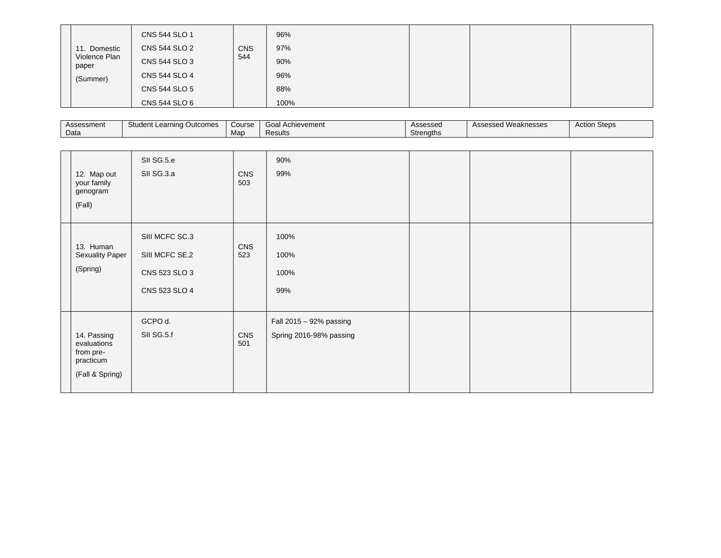| Domestic<br>11.<br>Violence Plan<br>paper<br>(Summer) | CNS 544 SLO 1<br>CNS 544 SLO 2<br>CNS 544 SLO 3<br>CNS 544 SLO 4<br>CNS 544 SLO 5<br>CNS 544 SLO 6 | <b>CNS</b><br>544 | 96%<br>97%<br>90%<br>96%<br>88%<br>100% |  |  |  |
|-------------------------------------------------------|----------------------------------------------------------------------------------------------------|-------------------|-----------------------------------------|--|--|--|
|-------------------------------------------------------|----------------------------------------------------------------------------------------------------|-------------------|-----------------------------------------|--|--|--|

| Assessment | Student Learning Outcomes | Course | Goa<br>l Achievement | Assessed  | Assessed Weaknesses | Steps<br>Action |
|------------|---------------------------|--------|----------------------|-----------|---------------------|-----------------|
| Data       |                           | Map    | Results              | Strenaths |                     |                 |

| 12. Map out<br>your family<br>genogram                                  | SII SG.5.e<br>SII SG.3.a                                           | CNS<br>503 | 90%<br>99%                                         |  |  |
|-------------------------------------------------------------------------|--------------------------------------------------------------------|------------|----------------------------------------------------|--|--|
| (Fall)                                                                  |                                                                    |            |                                                    |  |  |
| 13. Human<br><b>Sexuality Paper</b><br>(Spring)                         | SIII MCFC SC.3<br>SIII MCFC SE.2<br>CNS 523 SLO 3<br>CNS 523 SLO 4 | CNS<br>523 | 100%<br>100%<br>100%<br>99%                        |  |  |
| 14. Passing<br>evaluations<br>from pre-<br>practicum<br>(Fall & Spring) | GCPO d.<br>SII SG.5.f                                              | CNS<br>501 | Fall 2015 - 92% passing<br>Spring 2016-98% passing |  |  |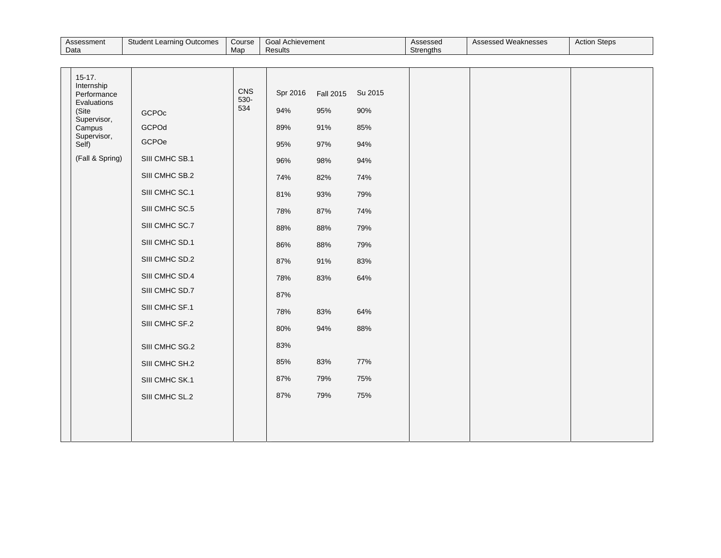| Assessment | Student Learning Outcomes | Course | Goal Achievement | Assessed  | <b>Assessed Weaknesses</b> | <b>Action Steps</b> |
|------------|---------------------------|--------|------------------|-----------|----------------------------|---------------------|
| Data       |                           | Map    | Results          | Strengths |                            |                     |

| $15-17.$<br>Internship<br>Performance<br>Evaluations<br>(Site<br>Supervisor,<br>Campus<br>Supervisor,<br>Self)<br>(Fall & Spring) | <b>GCPOc</b><br>GCPOd<br>GCPOe<br>SIII CMHC SB.1<br>SIII CMHC SB.2<br>SIII CMHC SC.1<br>SIII CMHC SC.5<br>SIII CMHC SC.7<br>SIII CMHC SD.1<br>SIII CMHC SD.2<br>SIII CMHC SD.4<br>SIII CMHC SD.7<br>SIII CMHC SF.1<br>SIII CMHC SF.2 | CNS<br>530-<br>534 | Spr 2016<br>94%<br>89%<br>95%<br>96%<br>74%<br>81%<br>78%<br>88%<br>86%<br>87%<br>78%<br>87%<br>78% | Fall 2015<br>95%<br>91%<br>97%<br>98%<br>82%<br>93%<br>87%<br>88%<br>88%<br>91%<br>83%<br>83% | Su 2015<br>90%<br>85%<br>94%<br>94%<br>74%<br>79%<br>74%<br>79%<br>79%<br>83%<br>64%<br>64% |  |  |
|-----------------------------------------------------------------------------------------------------------------------------------|--------------------------------------------------------------------------------------------------------------------------------------------------------------------------------------------------------------------------------------|--------------------|-----------------------------------------------------------------------------------------------------|-----------------------------------------------------------------------------------------------|---------------------------------------------------------------------------------------------|--|--|
|                                                                                                                                   |                                                                                                                                                                                                                                      |                    |                                                                                                     |                                                                                               |                                                                                             |  |  |
|                                                                                                                                   | SIII CMHC SG.2<br>SIII CMHC SH.2                                                                                                                                                                                                     |                    | 80%<br>83%<br>85%                                                                                   | 94%<br>83%                                                                                    | 88%<br>77%                                                                                  |  |  |
|                                                                                                                                   | SIII CMHC SK.1<br>SIII CMHC SL.2                                                                                                                                                                                                     |                    | 87%<br>87%                                                                                          | 79%<br>79%                                                                                    | 75%<br>75%                                                                                  |  |  |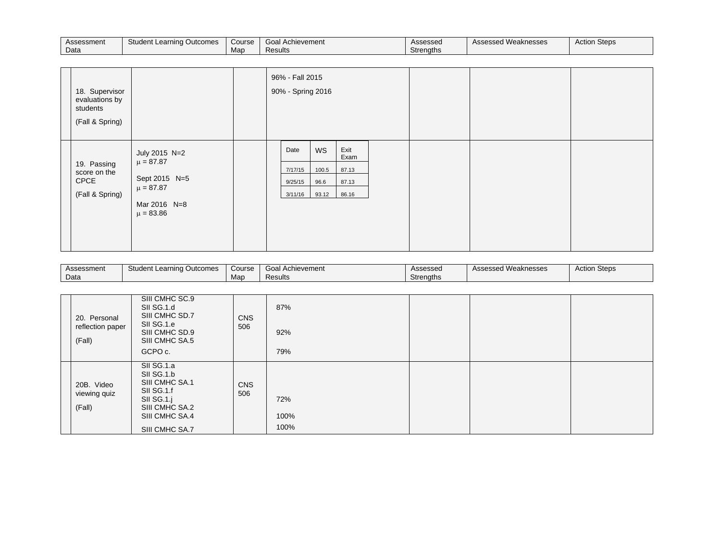| Assessment | Student Learning Outcomes | Course | Goal<br>Achievement | Assessed  | Weaknesses<br>Assessed | <b>Action Steps</b> |
|------------|---------------------------|--------|---------------------|-----------|------------------------|---------------------|
| Data       |                           | Map    | Results             | Strenaths |                        |                     |

| 18. Supervisor<br>evaluations by<br>students<br>(Fall & Spring) |                                                                                                   |  | 96% - Fall 2015<br>90% - Spring 2016  |                              |                                         |  |  |
|-----------------------------------------------------------------|---------------------------------------------------------------------------------------------------|--|---------------------------------------|------------------------------|-----------------------------------------|--|--|
| 19. Passing<br>score on the<br>CPCE<br>(Fall & Spring)          | July 2015 N=2<br>$\mu = 87.87$<br>Sept 2015 N=5<br>$\mu = 87.87$<br>Mar 2016 N=8<br>$\mu = 83.86$ |  | Date<br>7/17/15<br>9/25/15<br>3/11/16 | WS<br>100.5<br>96.6<br>93.12 | Exit<br>Exam<br>87.13<br>87.13<br>86.16 |  |  |

| Assessment | $\sim$<br>Outcomes<br>: Learning<br>Student | Course | Goal<br>Achievement | Assesseo  | $\cdots$<br>Weaknesses<br>Accoccod<br>noocoocu | <b>Stone</b><br>Action Steps |
|------------|---------------------------------------------|--------|---------------------|-----------|------------------------------------------------|------------------------------|
| Data       |                                             | Mar    | Results             | Strenaths |                                                |                              |

| 20. Personal<br>reflection paper<br>(Fall) | SIII CMHC SC.9<br>SII SG.1.d<br>SIII CMHC SD.7<br>SII SG.1.e<br>SIII CMHC SD.9<br>SIII CMHC SA.5<br>GCPO c.                  | <b>CNS</b><br>506 | 87%<br>92%<br>79%   |  |  |
|--------------------------------------------|------------------------------------------------------------------------------------------------------------------------------|-------------------|---------------------|--|--|
| 20B. Video<br>viewing quiz<br>(Fall)       | SII SG.1.a<br>SII SG.1.b<br>SIII CMHC SA.1<br>SII SG.1.f<br>SII SG.1.j<br>SIII CMHC SA.2<br>SIII CMHC SA.4<br>SIII CMHC SA.7 | <b>CNS</b><br>506 | 72%<br>100%<br>100% |  |  |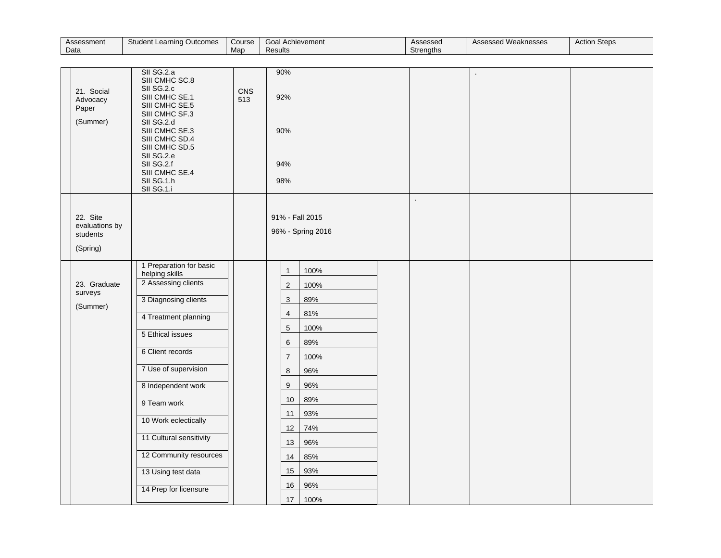| Assessment | Student Learning Outcomes | Course | Goal 1<br>Achievement | Assessed  | Assessed Weaknesses | <b>Action Steps</b> |
|------------|---------------------------|--------|-----------------------|-----------|---------------------|---------------------|
| Data       |                           | Mar    | <b>Results</b>        | Strengths |                     |                     |

| 21. Social<br>Advocacy<br>Paper<br>(Summer)        | SII SG.2.a<br>SIII CMHC SC.8<br>SII SG.2.c<br>SIII CMHC SE.1<br>SIII CMHC SE.5<br>SIII CMHC SF.3<br>SII SG.2.d<br>SIII CMHC SE.3<br>SIII CMHC SD.4<br>SIII CMHC SD.5<br>SII SG.2.e<br>SII SG.2.f<br>SIII CMHC SE.4<br>SII SG.1.h<br>SII SG.1.i                                                                                                    | CNS<br>513 | 90%<br>92%<br>90%<br>94%<br>98%                                                                                                                                                                    |                                                                                                                          |  | $\ddot{\phantom{a}}$ |  |
|----------------------------------------------------|---------------------------------------------------------------------------------------------------------------------------------------------------------------------------------------------------------------------------------------------------------------------------------------------------------------------------------------------------|------------|----------------------------------------------------------------------------------------------------------------------------------------------------------------------------------------------------|--------------------------------------------------------------------------------------------------------------------------|--|----------------------|--|
| 22. Site<br>evaluations by<br>students<br>(Spring) |                                                                                                                                                                                                                                                                                                                                                   |            | 91% - Fall 2015                                                                                                                                                                                    | 96% - Spring 2016                                                                                                        |  |                      |  |
| 23. Graduate<br>surveys<br>(Summer)                | 1 Preparation for basic<br>helping skills<br>2 Assessing clients<br>3 Diagnosing clients<br>4 Treatment planning<br>5 Ethical issues<br>6 Client records<br>7 Use of supervision<br>8 Independent work<br>9 Team work<br>10 Work eclectically<br>11 Cultural sensitivity<br>12 Community resources<br>13 Using test data<br>14 Prep for licensure |            | $\mathbf{1}$<br>$\overline{c}$<br>$\ensuremath{\mathsf{3}}$<br>$\sqrt{4}$<br>$\sqrt{5}$<br>$\,6$<br>$\overline{7}$<br>$\bf8$<br>$\boldsymbol{9}$<br>$10$<br>11<br>12<br>13<br>14<br>15<br>16<br>17 | 100%<br>100%<br>89%<br>81%<br>100%<br>89%<br>100%<br>96%<br>96%<br>89%<br>93%<br>74%<br>96%<br>85%<br>93%<br>96%<br>100% |  |                      |  |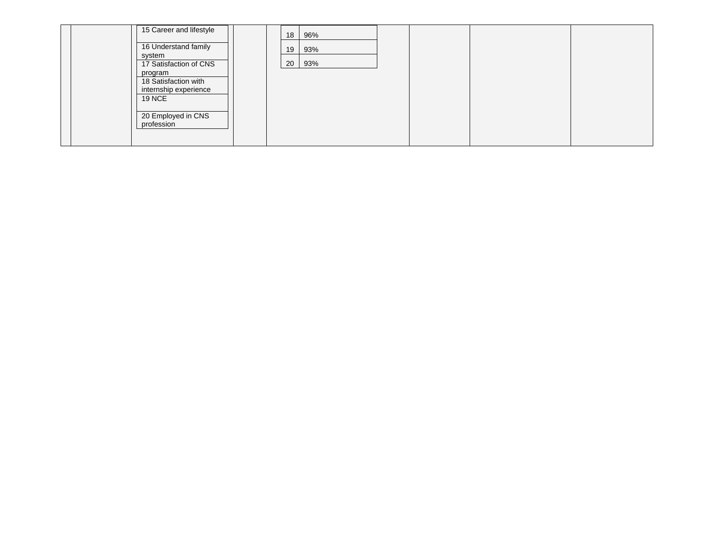| 15 Career and lifestyle                | 18 | 96% |  |  |
|----------------------------------------|----|-----|--|--|
| 16 Understand family<br>system         | 19 | 93% |  |  |
| 17 Satisfaction of CNS                 | 20 | 93% |  |  |
| program<br>18 Satisfaction with        |    |     |  |  |
| internship experience<br><b>19 NCE</b> |    |     |  |  |
| 20 Employed in CNS                     |    |     |  |  |
| profession                             |    |     |  |  |
|                                        |    |     |  |  |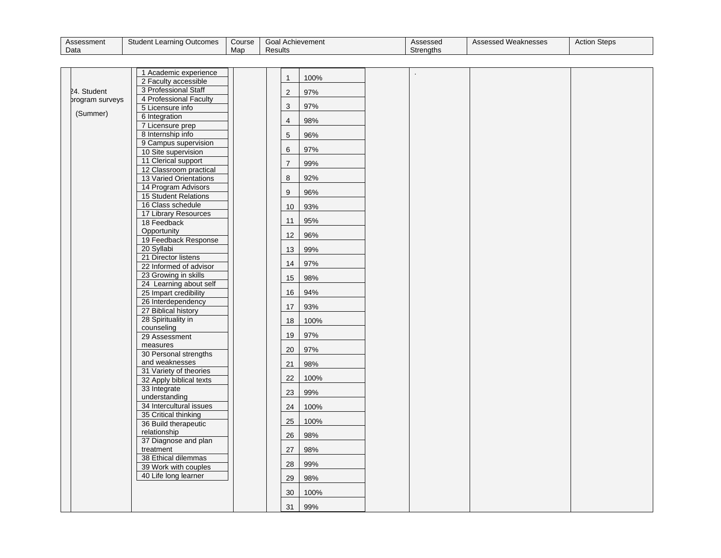| Assessment | Student Learning Outcomes | Course | Goal<br>Achievement | Assessed         | <sup>1</sup> Weaknesses<br>Assessed | <b>Action Steps</b> |
|------------|---------------------------|--------|---------------------|------------------|-------------------------------------|---------------------|
| Data       |                           | Map    | Results             | <b>Strenaths</b> |                                     |                     |

|                 | 1 Academic experience                            | $\mathbf{1}$    | 100% |  |  |
|-----------------|--------------------------------------------------|-----------------|------|--|--|
|                 | 2 Faculty accessible                             |                 |      |  |  |
| 24. Student     | 3 Professional Staff                             | 2               | 97%  |  |  |
| brogram surveys | 4 Professional Faculty                           | 3               | 97%  |  |  |
| (Summer)        | 5 Licensure info<br>6 Integration                |                 |      |  |  |
|                 | 7 Licensure prep                                 | $\overline{4}$  | 98%  |  |  |
|                 | 8 Internship info                                | 5               | 96%  |  |  |
|                 | 9 Campus supervision                             |                 |      |  |  |
|                 | 10 Site supervision                              | $6\phantom{1}6$ | 97%  |  |  |
|                 | 11 Clerical support                              | $\overline{7}$  | 99%  |  |  |
|                 | 12 Classroom practical<br>13 Varied Orientations | 8               | 92%  |  |  |
|                 | 14 Program Advisors                              |                 |      |  |  |
|                 | 15 Student Relations                             | 9               | 96%  |  |  |
|                 | 16 Class schedule                                | 10              | 93%  |  |  |
|                 | 17 Library Resources                             |                 | 95%  |  |  |
|                 | 18 Feedback                                      | 11              |      |  |  |
|                 | Opportunity<br>19 Feedback Response              | 12              | 96%  |  |  |
|                 | 20 Syllabi                                       | 13              | 99%  |  |  |
|                 | 21 Director listens                              |                 |      |  |  |
|                 | 22 Informed of advisor                           | 14              | 97%  |  |  |
|                 | 23 Growing in skills                             | 15              | 98%  |  |  |
|                 | 24 Learning about self<br>25 Impart credibility  | 16              | 94%  |  |  |
|                 | 26 Interdependency                               |                 |      |  |  |
|                 | 27 Biblical history                              | 17              | 93%  |  |  |
|                 | 28 Spirituality in                               | 18              | 100% |  |  |
|                 | counseling<br>29 Assessment                      | 19              | 97%  |  |  |
|                 | measures                                         |                 |      |  |  |
|                 | 30 Personal strengths                            | 20              | 97%  |  |  |
|                 | and weaknesses                                   | 21              | 98%  |  |  |
|                 | 31 Variety of theories                           |                 |      |  |  |
|                 | 32 Apply biblical texts                          | 22              | 100% |  |  |
|                 | 33 Integrate<br>understanding                    | 23              | 99%  |  |  |
|                 | 34 Intercultural issues                          | 24              | 100% |  |  |
|                 | 35 Critical thinking                             |                 |      |  |  |
|                 | 36 Build therapeutic                             | 25              | 100% |  |  |
|                 | relationship                                     | 26              | 98%  |  |  |
|                 | 37 Diagnose and plan<br>treatment                | 27              | 98%  |  |  |
|                 | 38 Ethical dilemmas                              |                 |      |  |  |
|                 | 39 Work with couples                             | 28              | 99%  |  |  |
|                 | 40 Life long learner                             | 29              | 98%  |  |  |
|                 |                                                  | 30              | 100% |  |  |
|                 |                                                  | 31              | 99%  |  |  |
|                 |                                                  |                 |      |  |  |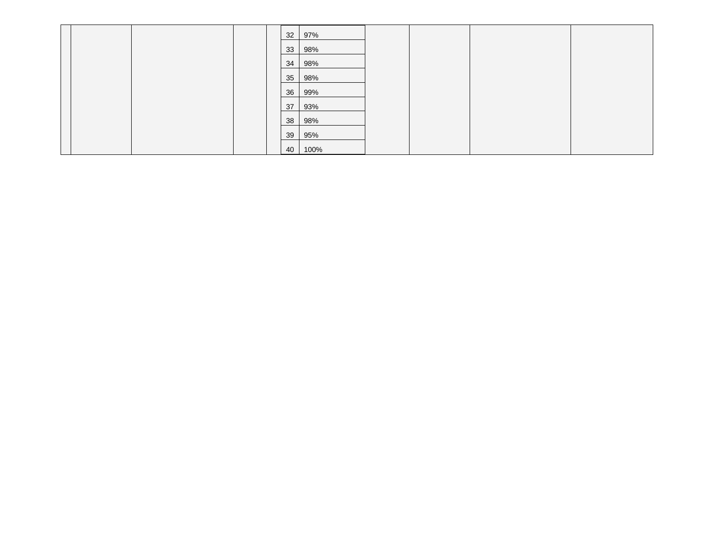|  |  | 32 | 97%  |  |  |
|--|--|----|------|--|--|
|  |  |    |      |  |  |
|  |  | 33 | 98%  |  |  |
|  |  | 34 | 98%  |  |  |
|  |  | 35 | 98%  |  |  |
|  |  | 36 | 99%  |  |  |
|  |  | 37 | 93%  |  |  |
|  |  | 38 | 98%  |  |  |
|  |  | 39 | 95%  |  |  |
|  |  | 40 | 100% |  |  |